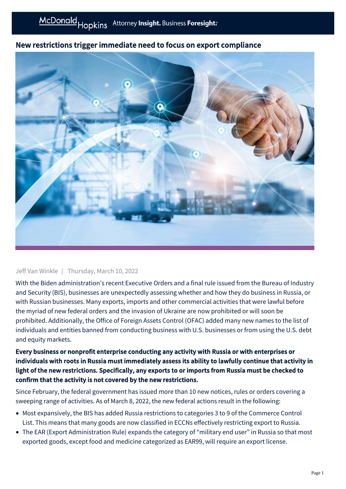## New restrictions trigger immediate need to focus on export compliance



## Jeff Van Winkle | Thursday, March 10, 2022

With the Biden administration's recent Executive Orders and a final rule issued from the Bureau of Industry and Security (BIS), businesses are unexpectedly assessing whether and how they do business in Russia, or with Russian businesses. Many exports, imports and other commercial activities that were lawful before the myriad of new federal orders and the invasion of Ukraine are now prohibited or will soon be prohibited. Additionally, the Office of Foreign Assets Control (OFAC) added many new names to the list of individuals and entities banned from conducting business with U.S. businesses or from using the U.S. debt and equity markets.

## Every business or nonprofit enterprise conducting any activity with Russia or with enterprises or individuals with roots in Russia must immediately assess its ability to lawfully continue that activity in light of the new restrictions. Specifically, any exports to or imports from Russia must be checked to confirm that the activity is not covered by the new restrictions.

Since February, the federal government has issued more than 10 new notices, rules or orders covering a sweeping range of activities. As of March 8, 2022, the new federal actions result in the following:

- Most expansively, the BIS has added Russia restrictions to categories 3 to 9 of the Commerce Control List. This means that many goods are now classified in ECCNs effectively restricting export to Russia.
- The EAR (Export Administration Rule) expands the category of "military end user" in Russia so that most exported goods, except food and medicine categorized as EAR99, will require an export license.